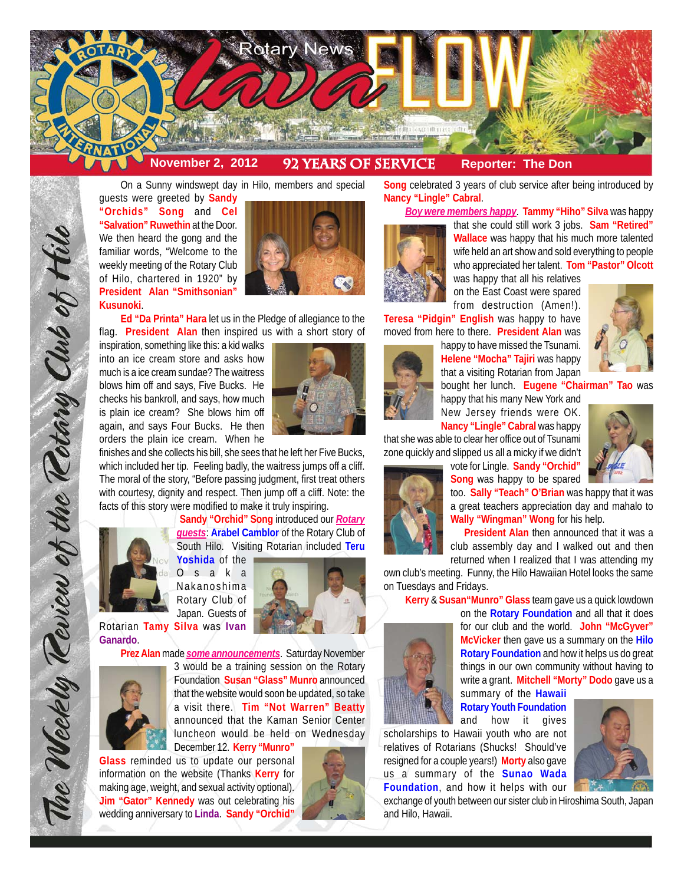

On a Sunny windswept day in Hilo, members and special

guests were greeted by **Sandy "Orchids" Song** and **Cel "Salvation" Ruwethin** at the Door. We then heard the gong and the familiar words, "Welcome to the weekly meeting of the Rotary Club of Hilo, chartered in 1920" by **President Alan "Smithsonian" Kusunoki**.



**Ed "Da Printa" Hara** let us in the Pledge of allegiance to the flag. **President Alan** then inspired us with a short story of

inspiration, something like this: a kid walks into an ice cream store and asks how much is a ice cream sundae? The waitress blows him off and says, Five Bucks. He checks his bankroll, and says, how much is plain ice cream? She blows him off again, and says Four Bucks. He then orders the plain ice cream. When he



finishes and she collects his bill, she sees that he left her Five Bucks, which included her tip. Feeling badly, the waitress jumps off a cliff. The moral of the story, "Before passing judgment, first treat others with courtesy, dignity and respect. Then jump off a cliff. Note: the facts of this story were modified to make it truly inspiring.



The Weekly Teview of the Tetary Club of Hilo

*guests*: **Arabel Camblor** of the Rotary Club of South Hilo. Visiting Rotarian included **Teru Yoshida** of the Osaka Nakanoshima Rotary Club of

Japan. Guests of Rotarian **Tamy Silva** was **Ivan Ganardo**.



**Prez Alan** made *some announcements*. Saturday November



3 would be a training session on the Rotary Foundation **Susan "Glass" Munro** announced that the website would soon be updated, so take a visit there. **Tim "Not Warren" Beatty** announced that the Kaman Senior Center luncheon would be held on Wednesday December 12. **Kerry "Munro"**

**Glass** reminded us to update our personal information on the website (Thanks **Kerry** for making age, weight, and sexual activity optional). **Jim "Gator" Kennedy** was out celebrating his wedding anniversary to **Linda**. **Sandy "Orchid"**



**Song** celebrated 3 years of club service after being introduced by **Nancy "Lingle" Cabral**.

*Boy were members happy*. **Tammy "Hiho" Silva** was happy that she could still work 3 jobs. **Sam "Retired" Wallace** was happy that his much more talented wife held an art show and sold everything to people

who appreciated her talent. **Tom "Pastor" Olcott** was happy that all his relatives

on the East Coast were spared from destruction (Amen!).

**Teresa "Pidgin" English** was happy to have moved from here to there. **President Alan** was



happy to have missed the Tsunami. **Helene "Mocha" Tajiri** was happy that a visiting Rotarian from Japan bought her lunch. **Eugene "Chairman" Tao** was

happy that his many New York and New Jersey friends were OK.



**Nancy "Lingle" Cabral** was happy that she was able to clear her office out of Tsunami zone quickly and slipped us all a micky if we didn't



vote for Lingle. **Sandy "Orchid" Song** was happy to be spared

too. **Sally "Teach" O'Brian** was happy that it was a great teachers appreciation day and mahalo to **Wally "Wingman" Wong** for his help.

**President Alan** then announced that it was a club assembly day and I walked out and then returned when I realized that I was attending my

own club's meeting. Funny, the Hilo Hawaiian Hotel looks the same on Tuesdays and Fridays.

**Kerry** & **Susan"Munro" Glass** team gave us a quick lowdown

on the **Rotary Foundation** and all that it does for our club and the world. **John "McGyver" McVicker** then gave us a summary on the **Hilo Rotary Foundation** and how it helps us do great things in our own community without having to write a grant. **Mitchell "Morty" Dodo** gave us a

summary of the **Hawaii Rotary Youth Foundation** and how it gives

scholarships to Hawaii youth who are not relatives of Rotarians (Shucks! Should've resigned for a couple years!) **Morty** also gave us a summary of the **Sunao Wada Foundation**, and how it helps with our



exchange of youth between our sister club in Hiroshima South, Japan and Hilo, Hawaii.